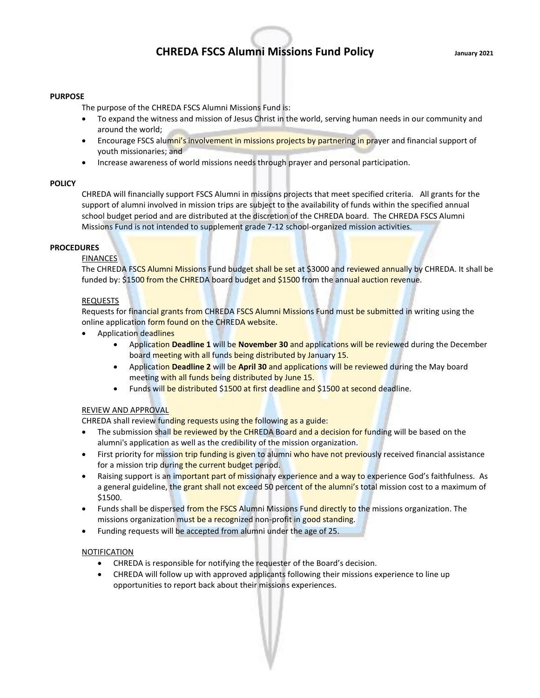# **CHREDA FSCS Alumni Missions Fund Policy January 2021**

#### **PURPOSE**

The purpose of the CHREDA FSCS Alumni Missions Fund is:

- To expand the witness and mission of Jesus Christ in the world, serving human needs in our community and around the world;
- Encourage FSCS alumni's involvement in missions projects by partnering in prayer and financial support of youth missionaries; and
- Increase awareness of world missions needs through prayer and personal participation.

#### **POLICY**

CHREDA will financially support FSCS Alumni in missions projects that meet specified criteria. All grants for the support of alumni involved in mission trips are subject to the availability of funds within the specified annual school budget period and are distributed at the discretion of the CHREDA board. The CHREDA FSCS Alumni Missions Fund is not intended to supplement grade 7-12 school-organized mission activities.

## **PROCEDURES**

#### FINANCES

The CHREDA FSCS Alumni Missions Fund budget shall be set at \$3000 and reviewed annually by CHREDA. It shall be funded by: \$1500 from the CHREDA board budget and \$1500 from the annual auction revenue.

### **REQUESTS**

Requests for financial grants from CHREDA FSCS Alumni Missions Fund must be submitted in writing using the online application form found on the CHREDA website.

- Application deadlines
	- Application **Deadline 1** will be **November 30** and applications will be reviewed during the December board meeting with all funds being distributed by January 15.
	- Application **Deadline 2** will be **April 30** and applications will be reviewed during the May board meeting with all funds being distributed by June 15.
	- Funds will be distributed \$1500 at first deadline and \$1500 at second deadline.

#### REVIEW AND APPROVAL

CHREDA shall review funding requests using the following as a guide:

- The submission shall be reviewed by the CHREDA Board and a decision for funding will be based on the alumni's application as well as the credibility of the mission organization.
- First priority for mission trip funding is given to alumni who have not previously received financial assistance for a mission trip during the current budget period.
- Raising support is an important part of missionary experience and a way to experience God's faithfulness. As a general guideline, the grant shall not exceed 50 percent of the alumni's total mission cost to a maximum of \$1500.
- Funds shall be dispersed from the FSCS Alumni Missions Fund directly to the missions organization. The missions organization must be a recognized non-profit in good standing.
- Funding requests will be accepted from alumni under the age of 25.

#### NOTIFICATION

- CHREDA is responsible for notifying the requester of the Board's decision.
- CHREDA will follow up with approved applicants following their missions experience to line up opportunities to report back about their missions experiences.